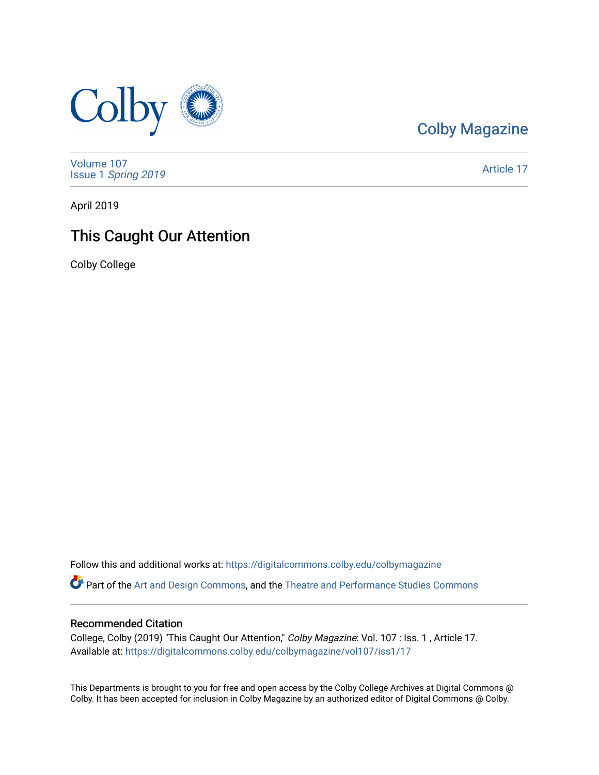

[Colby Magazine](https://digitalcommons.colby.edu/colbymagazine) 

[Volume 107](https://digitalcommons.colby.edu/colbymagazine/vol107) Issue 1 [Spring 2019](https://digitalcommons.colby.edu/colbymagazine/vol107/iss1) 

[Article 17](https://digitalcommons.colby.edu/colbymagazine/vol107/iss1/17) 

April 2019

## This Caught Our Attention

Colby College

Follow this and additional works at: [https://digitalcommons.colby.edu/colbymagazine](https://digitalcommons.colby.edu/colbymagazine?utm_source=digitalcommons.colby.edu%2Fcolbymagazine%2Fvol107%2Fiss1%2F17&utm_medium=PDF&utm_campaign=PDFCoverPages) Part of the [Art and Design Commons](http://network.bepress.com/hgg/discipline/1049?utm_source=digitalcommons.colby.edu%2Fcolbymagazine%2Fvol107%2Fiss1%2F17&utm_medium=PDF&utm_campaign=PDFCoverPages), and the [Theatre and Performance Studies Commons](http://network.bepress.com/hgg/discipline/552?utm_source=digitalcommons.colby.edu%2Fcolbymagazine%2Fvol107%2Fiss1%2F17&utm_medium=PDF&utm_campaign=PDFCoverPages)

## Recommended Citation

College, Colby (2019) "This Caught Our Attention," Colby Magazine: Vol. 107 : Iss. 1 , Article 17. Available at: [https://digitalcommons.colby.edu/colbymagazine/vol107/iss1/17](https://digitalcommons.colby.edu/colbymagazine/vol107/iss1/17?utm_source=digitalcommons.colby.edu%2Fcolbymagazine%2Fvol107%2Fiss1%2F17&utm_medium=PDF&utm_campaign=PDFCoverPages)

This Departments is brought to you for free and open access by the Colby College Archives at Digital Commons @ Colby. It has been accepted for inclusion in Colby Magazine by an authorized editor of Digital Commons @ Colby.